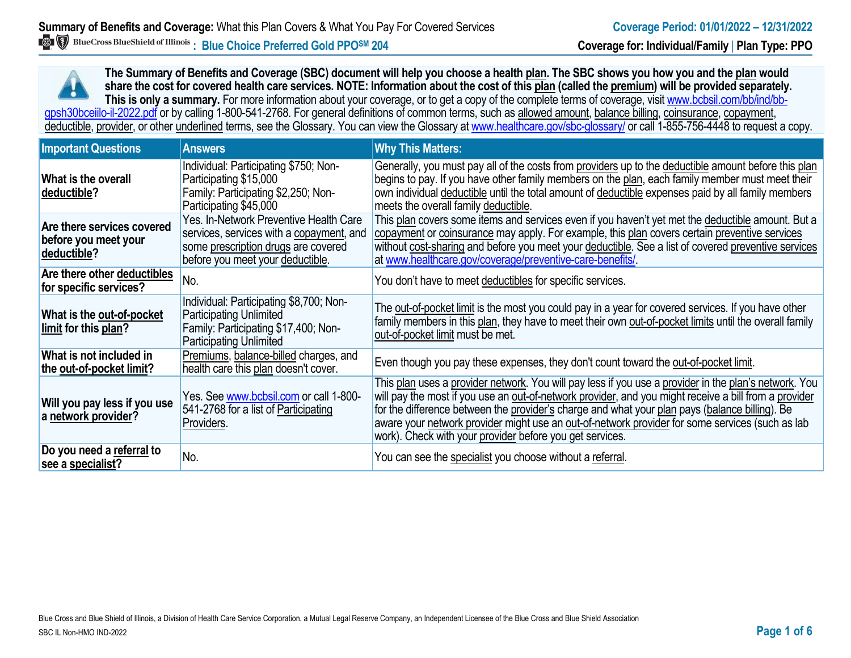**The Summary of Benefits and Coverage (SBC) document will help you choose a health plan. The SBC shows you how you and the plan would share the cost for covered health care services. NOTE: Information about the cost of this plan (called the premium) will be provided separately.** This is only a summary. For more information about your coverage, or to get a copy of the complete terms of coverage, visit www.bcbsil.com/bb/ind/bbgpsh30bceiilo-il-2022.pdf or by calling 1-800-541-2768. For general definitions of common terms, such as allowed amount, balance billing, coinsurance, copayment, deductible, provider, or other underlined terms, see the Glossary. You can view the Glossary a[t www.healthcare.gov/sbc-glossary/](http://www.healthcare.gov/sbc-glossary/) or call 1-855-756-4448 to request a copy.

| <b>Important Questions</b>                                        | <b>Answers</b>                                                                                                                                                | <b>Why This Matters:</b>                                                                                                                                                                                                                                                                                                                                                                                                                                                        |
|-------------------------------------------------------------------|---------------------------------------------------------------------------------------------------------------------------------------------------------------|---------------------------------------------------------------------------------------------------------------------------------------------------------------------------------------------------------------------------------------------------------------------------------------------------------------------------------------------------------------------------------------------------------------------------------------------------------------------------------|
| What is the overall<br>deductible?                                | Individual: Participating \$750; Non-<br>Participating \$15,000<br>Family: Participating \$2,250; Non-<br>Participating \$45,000                              | Generally, you must pay all of the costs from providers up to the deductible amount before this plan<br>begins to pay. If you have other family members on the plan, each family member must meet their<br>own individual deductible until the total amount of deductible expenses paid by all family members<br>meets the overall family deductible.                                                                                                                           |
| Are there services covered<br>before you meet your<br>deductible? | Yes. In-Network Preventive Health Care<br>services, services with a copayment, and<br>some prescription drugs are covered<br>before you meet your deductible. | This plan covers some items and services even if you haven't yet met the deductible amount. But a<br>copayment or coinsurance may apply. For example, this plan covers certain preventive services<br>without cost-sharing and before you meet your deductible. See a list of covered preventive services<br>at www.healthcare.gov/coverage/preventive-care-benefits/                                                                                                           |
| Are there other deductibles<br>for specific services?             | No.                                                                                                                                                           | You don't have to meet deductibles for specific services.                                                                                                                                                                                                                                                                                                                                                                                                                       |
| What is the out-of-pocket<br>limit for this plan?                 | Individual: Participating \$8,700; Non-<br><b>Participating Unlimited</b><br>Family: Participating \$17,400; Non-<br><b>Participating Unlimited</b>           | The out-of-pocket limit is the most you could pay in a year for covered services. If you have other<br>family members in this plan, they have to meet their own out-of-pocket limits until the overall family<br>out-of-pocket limit must be met.                                                                                                                                                                                                                               |
| What is not included in<br>the out-of-pocket limit?               | Premiums, balance-billed charges, and<br>health care this plan doesn't cover.                                                                                 | Even though you pay these expenses, they don't count toward the out-of-pocket limit.                                                                                                                                                                                                                                                                                                                                                                                            |
| Will you pay less if you use<br>a network provider?               | Yes. See www.bcbsil.com or call 1-800-<br>541-2768 for a list of Participating<br>Providers.                                                                  | This plan uses a provider network. You will pay less if you use a provider in the plan's network. You<br>will pay the most if you use an out-of-network provider, and you might receive a bill from a provider<br>for the difference between the provider's charge and what your plan pays (balance billing). Be<br>aware your network provider might use an out-of-network provider for some services (such as lab<br>work). Check with your provider before you get services. |
| Do you need a referral to<br>see a specialist?                    | No.                                                                                                                                                           | You can see the specialist you choose without a referral.                                                                                                                                                                                                                                                                                                                                                                                                                       |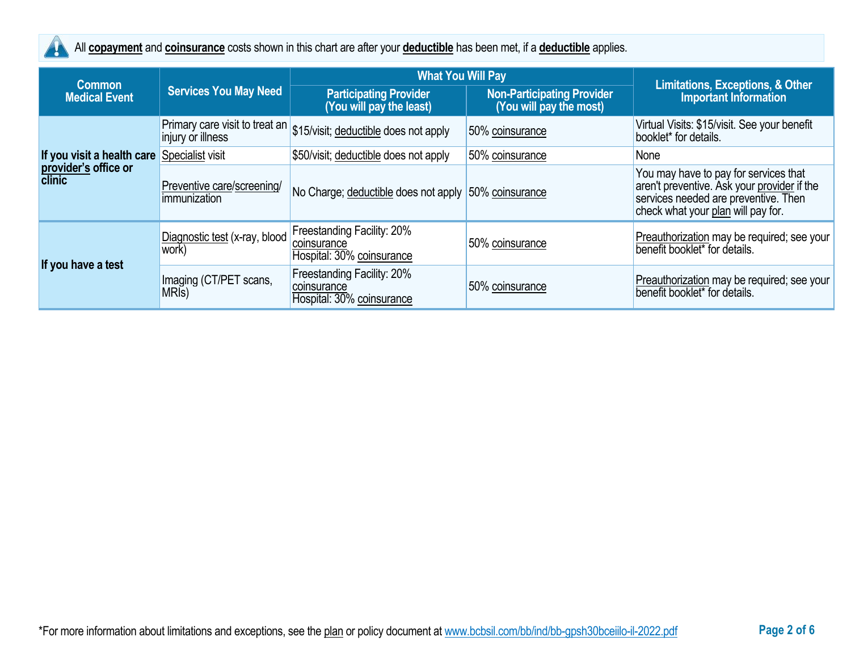

All **copayment** and **coinsurance** costs shown in this chart are after your **deductible** has been met, if a **deductible** applies.

|                                       |                                              | <b>What You Will Pay</b>                                                 |                                                              |                                                                                                                                                                    |
|---------------------------------------|----------------------------------------------|--------------------------------------------------------------------------|--------------------------------------------------------------|--------------------------------------------------------------------------------------------------------------------------------------------------------------------|
| <b>Common</b><br><b>Medical Event</b> | <b>Services You May Need</b>                 | <b>Participating Provider</b><br>(You will pay the least)                | <b>Non-Participating Provider</b><br>(You will pay the most) | <b>Limitations, Exceptions, &amp; Other</b><br><b>Important Information</b>                                                                                        |
|                                       | injury or illness                            | Primary care visit to treat an $ $ \$15/visit; deductible does not apply | 50% coinsurance                                              | Virtual Visits: \$15/visit. See your benefit<br>booklet* for details.                                                                                              |
| If you visit a health care            | Specialist visit                             | \$50/visit; deductible does not apply                                    | 50% coinsurance                                              | None                                                                                                                                                               |
| provider's office or<br>clinic        | Preventive care/screening/<br>immunization   | No Charge; deductible does not apply 50% coinsurance                     |                                                              | You may have to pay for services that<br>aren't preventive. Ask your provider if the<br>services needed are preventive. Then<br>check what your plan will pay for. |
| If you have a test                    | Diagnostic test (x-ray, blood<br>work)       | Freestanding Facility: 20%<br>coinsurance<br>Hospital: 30% coinsurance   | 50% coinsurance                                              | Preauthorization may be required; see your<br>benefit booklet* for details.                                                                                        |
|                                       | Imaging (CT/PET scans,<br>MRI <sub>s</sub> ) | Freestanding Facility: 20%<br>coinsurance<br>Hospital: 30% coinsurance   | 50% coinsurance                                              | Preauthorization may be required; see your<br>benefit booklet <sup>*</sup> for details.                                                                            |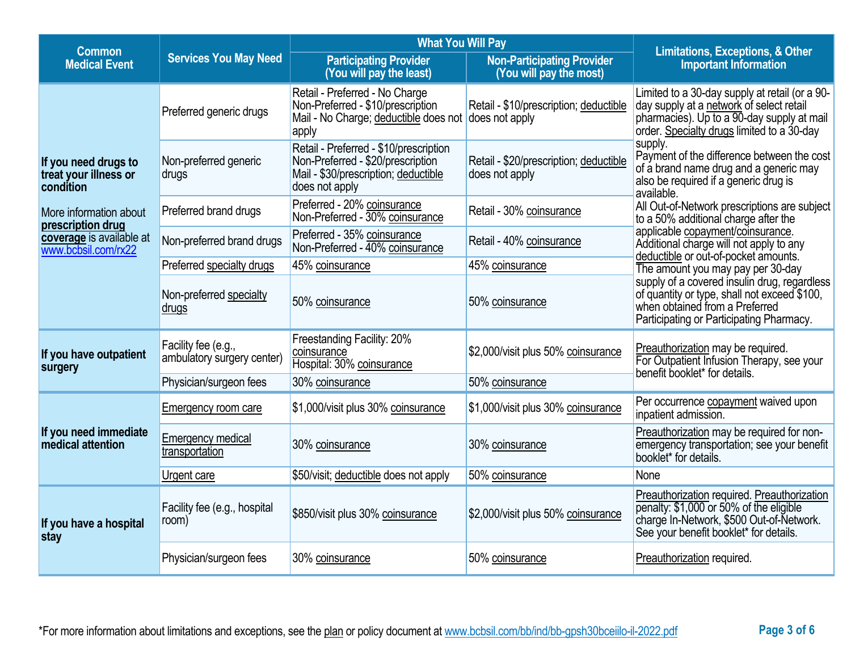| <b>Common</b>                                              |                                                   | <b>What You Will Pay</b>                                                                                                              |                                                              | <b>Limitations, Exceptions, &amp; Other</b>                                                                                                                                            |
|------------------------------------------------------------|---------------------------------------------------|---------------------------------------------------------------------------------------------------------------------------------------|--------------------------------------------------------------|----------------------------------------------------------------------------------------------------------------------------------------------------------------------------------------|
| <b>Medical Event</b>                                       | <b>Services You May Need</b>                      | <b>Participating Provider</b><br>(You will pay the least)                                                                             | <b>Non-Participating Provider</b><br>(You will pay the most) | <b>Important Information</b>                                                                                                                                                           |
|                                                            | Preferred generic drugs                           | Retail - Preferred - No Charge<br>Non-Preferred - \$10/prescription<br>Mail - No Charge; deductible does not does not apply<br>apply  | Retail - \$10/prescription; deductible                       | Limited to a 30-day supply at retail (or a 90-<br>day supply at a network of select retail<br>pharmacies). Up to a 90-day supply at mail<br>order. Specialty drugs limited to a 30-day |
| If you need drugs to<br>treat your illness or<br>condition | Non-preferred generic<br>drugs                    | Retail - Preferred - \$10/prescription<br>Non-Preferred - \$20/prescription<br>Mail - \$30/prescription; deductible<br>does not apply | Retail - \$20/prescription; deductible<br>does not apply     | supply.<br>Payment of the difference between the cost<br>of a brand name drug and a generic may<br>also be required if a generic drug is<br>available.                                 |
| More information about<br>prescription drug                | Preferred brand drugs                             | Preferred - 20% coinsurance<br>Non-Preferred - 30% coinsurance                                                                        | Retail - 30% coinsurance                                     | All Out-of-Network prescriptions are subject<br>to a 50% additional charge after the                                                                                                   |
| coverage is available at<br>www.bcbsil.com/rx22            | Non-preferred brand drugs                         | Preferred - 35% coinsurance<br>Non-Preferred - 40% coinsurance                                                                        | Retail - 40% coinsurance                                     | applicable copayment/coinsurance.<br>Additional charge will not apply to any<br>deductible or out-of-pocket amounts.                                                                   |
|                                                            | Preferred specialty drugs                         | 45% coinsurance                                                                                                                       | 45% coinsurance                                              | The amount you may pay per 30-day                                                                                                                                                      |
|                                                            | Non-preferred specialty<br>drugs                  | 50% coinsurance                                                                                                                       | 50% coinsurance                                              | supply of a covered insulin drug, regardless<br>of quantity or type, shall not exceed \$100,<br>when obtained from a Preferred<br>Participating or Participating Pharmacy.             |
| If you have outpatient<br>surgery                          | Facility fee (e.g.,<br>ambulatory surgery center) | Freestanding Facility: 20%<br>coinsurance<br>Hospital: 30% coinsurance                                                                | \$2,000/visit plus 50% coinsurance                           | Preauthorization may be required.<br>For Outpatient Infusion Therapy, see your<br>benefit booklet* for details.                                                                        |
|                                                            | Physician/surgeon fees                            | 30% coinsurance                                                                                                                       | 50% coinsurance                                              |                                                                                                                                                                                        |
|                                                            | Emergency room care                               | \$1,000/visit plus 30% coinsurance                                                                                                    | \$1,000/visit plus 30% coinsurance                           | Per occurrence copayment waived upon<br>inpatient admission.                                                                                                                           |
| If you need immediate<br>medical attention                 | <b>Emergency medical</b><br>transportation        | 30% coinsurance                                                                                                                       | 30% coinsurance                                              | Preauthorization may be required for non-<br>emergency transportation; see your benefit<br>booklet* for details.                                                                       |
|                                                            | Urgent care                                       | \$50/visit; deductible does not apply                                                                                                 | 50% coinsurance                                              | None                                                                                                                                                                                   |
| If you have a hospital<br>stay                             | Facility fee (e.g., hospital<br>room)             | \$850/visit plus 30% coinsurance                                                                                                      | \$2,000/visit plus 50% coinsurance                           | Preauthorization required. Preauthorization<br>penalty: \$1,000 or 50% of the eligible<br>charge In-Network, \$500 Out-of-Network.<br>See your benefit booklet* for details.           |
|                                                            | Physician/surgeon fees                            | 30% coinsurance                                                                                                                       | 50% coinsurance                                              | Preauthorization required.                                                                                                                                                             |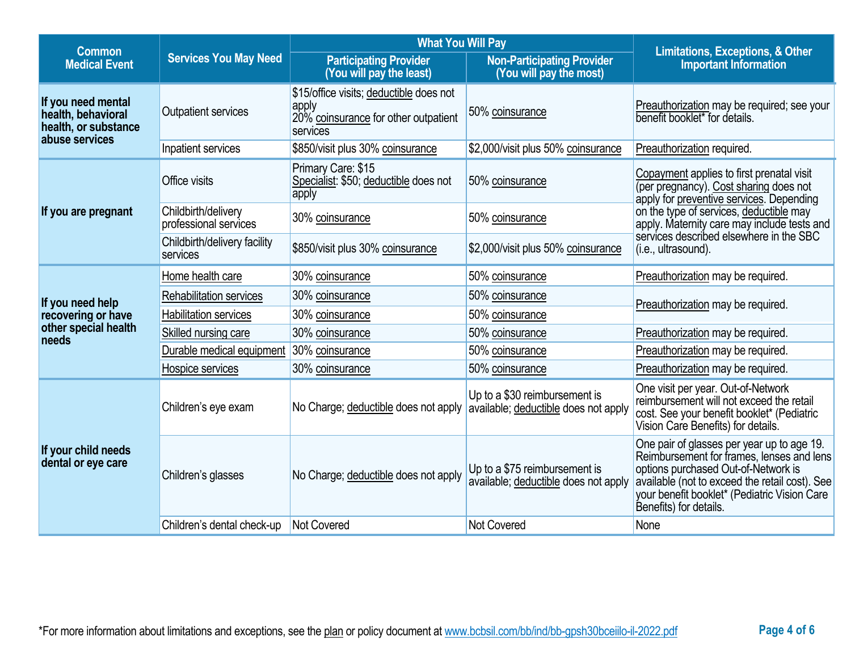|                                                                                    |                                              | <b>What You Will Pay</b>                                                                             |                                                                       |                                                                                                                                                                                                                                                            |
|------------------------------------------------------------------------------------|----------------------------------------------|------------------------------------------------------------------------------------------------------|-----------------------------------------------------------------------|------------------------------------------------------------------------------------------------------------------------------------------------------------------------------------------------------------------------------------------------------------|
| <b>Common</b><br><b>Medical Event</b>                                              | <b>Services You May Need</b>                 | <b>Participating Provider</b><br>(You will pay the least)                                            | <b>Non-Participating Provider</b><br>(You will pay the most)          | <b>Limitations, Exceptions, &amp; Other</b><br><b>Important Information</b>                                                                                                                                                                                |
| If you need mental<br>health, behavioral<br>health, or substance<br>abuse services | <b>Outpatient services</b>                   | \$15/office visits; deductible does not<br>apply<br>20% coinsurance for other outpatient<br>services | 50% coinsurance                                                       | Preauthorization may be required; see your<br>benefit booklet* for details.                                                                                                                                                                                |
|                                                                                    | Inpatient services                           | \$850/visit plus 30% coinsurance                                                                     | \$2,000/visit plus 50% coinsurance                                    | Preauthorization required.                                                                                                                                                                                                                                 |
|                                                                                    | Office visits                                | Primary Care: \$15<br>Specialist: \$50; deductible does not<br>apply                                 | 50% coinsurance                                                       | Copayment applies to first prenatal visit<br>(per pregnancy). Cost sharing does not<br>apply for preventive services. Depending                                                                                                                            |
| If you are pregnant                                                                | Childbirth/delivery<br>professional services | 30% coinsurance                                                                                      | 50% coinsurance                                                       | on the type of services, deductible may<br>apply. Maternity care may include tests and                                                                                                                                                                     |
|                                                                                    | Childbirth/delivery facility<br>services     | \$850/visit plus 30% coinsurance                                                                     | \$2,000/visit plus 50% coinsurance                                    | services described elsewhere in the SBC<br>(i.e., ultrasound).                                                                                                                                                                                             |
|                                                                                    | Home health care                             | 30% coinsurance                                                                                      | 50% coinsurance                                                       | Preauthorization may be required.                                                                                                                                                                                                                          |
| If you need help                                                                   | Rehabilitation services                      | 30% coinsurance                                                                                      | 50% coinsurance                                                       | Preauthorization may be required.                                                                                                                                                                                                                          |
| recovering or have                                                                 | <b>Habilitation services</b>                 | 30% coinsurance                                                                                      | 50% coinsurance                                                       |                                                                                                                                                                                                                                                            |
| other special health<br>needs                                                      | Skilled nursing care                         | 30% coinsurance                                                                                      | 50% coinsurance                                                       | Preauthorization may be required.                                                                                                                                                                                                                          |
|                                                                                    | Durable medical equipment                    | 30% coinsurance                                                                                      | 50% coinsurance                                                       | Preauthorization may be required.                                                                                                                                                                                                                          |
|                                                                                    | Hospice services                             | 30% coinsurance                                                                                      | 50% coinsurance                                                       | Preauthorization may be required.                                                                                                                                                                                                                          |
|                                                                                    | Children's eye exam                          | No Charge; deductible does not apply                                                                 | Up to a \$30 reimbursement is<br>available; deductible does not apply | One visit per year. Out-of-Network<br>reimbursement will not exceed the retail<br>cost. See your benefit booklet* (Pediatric<br>Vision Care Benefits) for details.                                                                                         |
| If your child needs<br>dental or eye care                                          | Children's glasses                           | No Charge; deductible does not apply                                                                 | Up to a \$75 reimbursement is<br>available; deductible does not apply | One pair of glasses per year up to age 19.<br>Reimbursement for frames, lenses and lens<br>options purchased Out-of-Network is<br>available (not to exceed the retail cost). See<br>your benefit booklet* (Pediatric Vision Care<br>Benefits) for details. |
|                                                                                    | Children's dental check-up                   | Not Covered                                                                                          | Not Covered                                                           | None                                                                                                                                                                                                                                                       |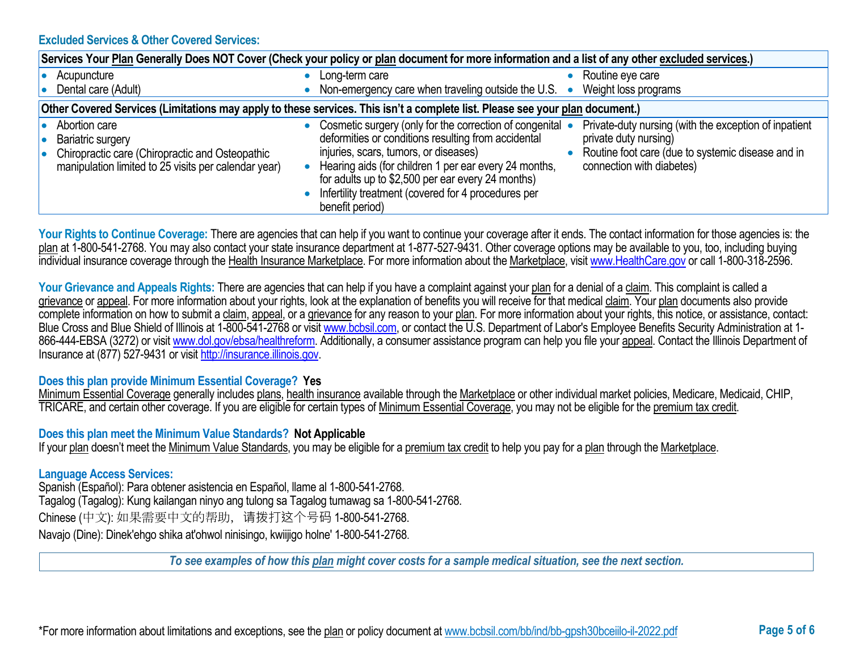### **Excluded Services & Other Covered Services:**

| Services Your Plan Generally Does NOT Cover (Check your policy or plan document for more information and a list of any other excluded services.)     |                                                                                                                                                                                                                                                                                                                                                                                                                                                                                                                       |  |  |
|------------------------------------------------------------------------------------------------------------------------------------------------------|-----------------------------------------------------------------------------------------------------------------------------------------------------------------------------------------------------------------------------------------------------------------------------------------------------------------------------------------------------------------------------------------------------------------------------------------------------------------------------------------------------------------------|--|--|
| Acupuncture<br>Dental care (Adult)                                                                                                                   | Routine eye care<br>Long-term care<br>Non-emergency care when traveling outside the U.S.<br>Weight loss programs<br>$\bullet$                                                                                                                                                                                                                                                                                                                                                                                         |  |  |
|                                                                                                                                                      | Other Covered Services (Limitations may apply to these services. This isn't a complete list. Please see your plan document.)                                                                                                                                                                                                                                                                                                                                                                                          |  |  |
| Abortion care<br><b>Bariatric surgery</b><br>Chiropractic care (Chiropractic and Osteopathic<br>manipulation limited to 25 visits per calendar year) | Cosmetic surgery (only for the correction of congenital •<br>Private-duty nursing (with the exception of inpatient<br>deformities or conditions resulting from accidental<br>private duty nursing)<br>injuries, scars, tumors, or diseases)<br>Routine foot care (due to systemic disease and in<br>Hearing aids (for children 1 per ear every 24 months,<br>connection with diabetes)<br>for adults up to \$2,500 per ear every 24 months)<br>Infertility treatment (covered for 4 procedures per<br>benefit period) |  |  |

Your Rights to Continue Coverage: There are agencies that can help if you want to continue your coverage after it ends. The contact information for those agencies is: the plan at 1-800-541-2768. You may also contact your state insurance department at 1-877-527-9431. Other coverage options may be available to you, too, including buying individual insurance coverage through the Health Insurance Marketplace. For more information about the Marketplace, visi[t www.HealthCare.gov](http://www.healthcare.gov/) or call 1-800-318-2596.

Your Grievance and Appeals Rights: There are agencies that can help if you have a complaint against your plan for a denial of a claim. This complaint is called a grievance or appeal. For more information about your rights, look at the explanation of benefits you will receive for that medical claim. Your plan documents also provide complete information on how to submit a claim, appeal, or a grievance for any reason to your plan. For more information about your rights, this notice, or assistance, contact: Blue Cross and Blue Shield of Illinois at 1-800-541-2768 or visit [www.bcbsil.com,](http://www.bcbsil.com/) or contact the U.S. Department of Labor's Employee Benefits Security Administration at 1866-444-EBSA (3272) or visit [www.dol.gov/ebsa/healthreform.](http://www.dol.gov/ebsa/healthreform) Additionally, a consumer assistance program can help you file your appeal. Contact the Illinois Department of Insurance at (877) 527-9431 or visi[t http://insurance.illinois.gov.](http://insurance.illinois.gov/)

#### **Does this plan provide Minimum Essential Coverage? Yes**

Minimum Essential Coverage generally includes plans, health insurance available through the Marketplace or other individual market policies, Medicare, Medicaid, CHIP, TRICARE, and certain other coverage. If you are eligible for certain types of Minimum Essential Coverage, you may not be eligible for the premium tax credit.

### **Does this plan meet the Minimum Value Standards? Not Applicable**

If your plan doesn't meet the Minimum Value Standards, you may be eligible for a premium tax credit to help you pay for a plan through the Marketplace.

### **Language Access Services:**

Spanish (Español): Para obtener asistencia en Español, llame al 1-800-541-2768. Tagalog (Tagalog): Kung kailangan ninyo ang tulong sa Tagalog tumawag sa 1-800-541-2768. Chinese (中文): 如果需要中文的帮助,请拨打这个号码 1-800-541-2768. Navajo (Dine): Dinek'ehgo shika at'ohwol ninisingo, kwiijigo holne' 1-800-541-2768.

*To see examples of how this plan might cover costs for a sample medical situation, see the next section.*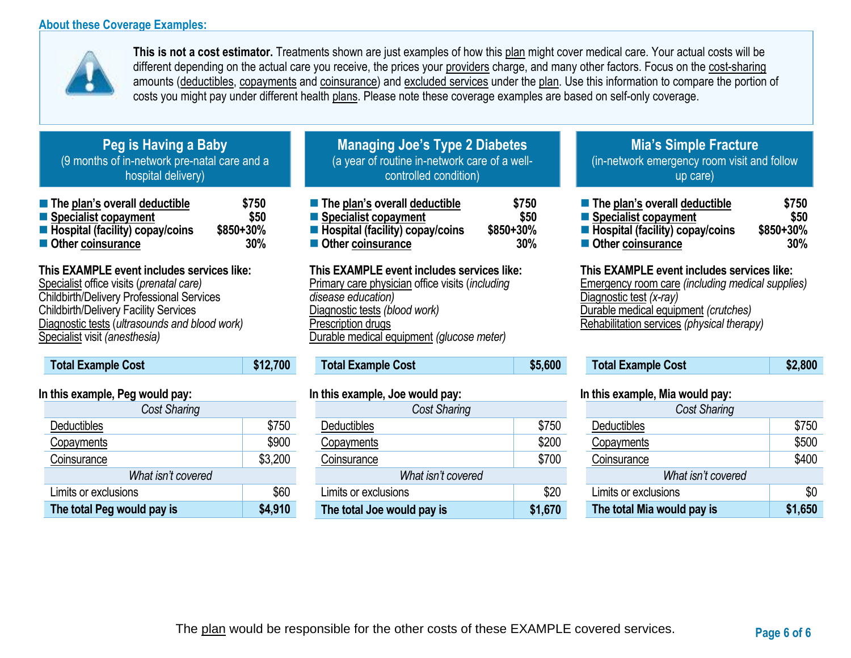## **About these Coverage Examples:**



**This is not a cost estimator.** Treatments shown are just examples of how this plan might cover medical care. Your actual costs will be different depending on the actual care you receive, the prices your providers charge, and many other factors. Focus on the cost-sharing amounts (deductibles, copayments and coinsurance) and excluded services under the plan. Use this information to compare the portion of costs you might pay under different health plans. Please note these coverage examples are based on self-only coverage.

# **Peg is Having a Baby** (9 months of in-network pre-natal care and a hospital delivery)

| ■ The plan's overall deductible   | \$750     |
|-----------------------------------|-----------|
| ■ Specialist copayment            | \$50      |
| ■ Hospital (facility) copay/coins | \$850+30% |
| Other coinsurance                 | 30%       |

# **This EXAMPLE event includes services like:**

Specialist office visits (*prenatal care)* Childbirth/Delivery Professional Services Childbirth/Delivery Facility Services Diagnostic tests (*ultrasounds and blood work)* Specialist visit *(anesthesia)* 

| <b>Total Example Cost</b> | \$12,700 |
|---------------------------|----------|
|                           |          |

## **In this example, Peg would pay:**

| <b>Cost Sharing</b>        |         |
|----------------------------|---------|
| Deductibles                | \$750   |
| Copayments                 | \$900   |
| Coinsurance                | \$3,200 |
| What isn't covered         |         |
| Limits or exclusions       | \$60    |
| The total Peg would pay is | \$4,910 |

# **Managing Joe's Type 2 Diabetes** (a year of routine in-network care of a wellcontrolled condition)

| The plan's overall deductible     | \$750     |
|-----------------------------------|-----------|
| ■ Specialist copayment            | \$50      |
| ■ Hospital (facility) copay/coins | \$850+30% |
| Other coinsurance                 | 30%       |

## **This EXAMPLE event includes services like:**

Primary care physician office visits (*including disease education)* Diagnostic tests *(blood work)* Prescription drugs Durable medical equipment *(glucose meter)* 

# **Total Example Cost \$5,600**

### **In this example, Joe would pay:**

| <b>Cost Sharing</b>        |         |
|----------------------------|---------|
| Deductibles                | \$750   |
| Copayments                 | \$200   |
| Coinsurance                | \$700   |
| What isn't covered         |         |
| Limits or exclusions       | \$20    |
| The total Joe would pay is | \$1,670 |

# **Mia's Simple Fracture** (in-network emergency room visit and follow up care)

| ■ The plan's overall deductible   | \$750     |
|-----------------------------------|-----------|
| ■ Specialist copayment            | \$50      |
| ■ Hospital (facility) copay/coins | \$850+30% |
| ■ Other coinsurance               | 30%       |

### **This EXAMPLE event includes services like:**

Emergency room care *(including medical supplies)* Diagnostic test *(x-ray)* Durable medical equipment *(crutches)* Rehabilitation services *(physical therapy)*

| <b>Total Example Cost</b> | \$2,800 |
|---------------------------|---------|
|---------------------------|---------|

## **In this example, Mia would pay:**

| <b>Cost Sharing</b>        |         |  |
|----------------------------|---------|--|
| <b>Deductibles</b>         | \$750   |  |
| Copayments                 | \$500   |  |
| Coinsurance                | \$400   |  |
| What isn't covered         |         |  |
| Limits or exclusions       | \$0     |  |
| The total Mia would pay is | \$1,650 |  |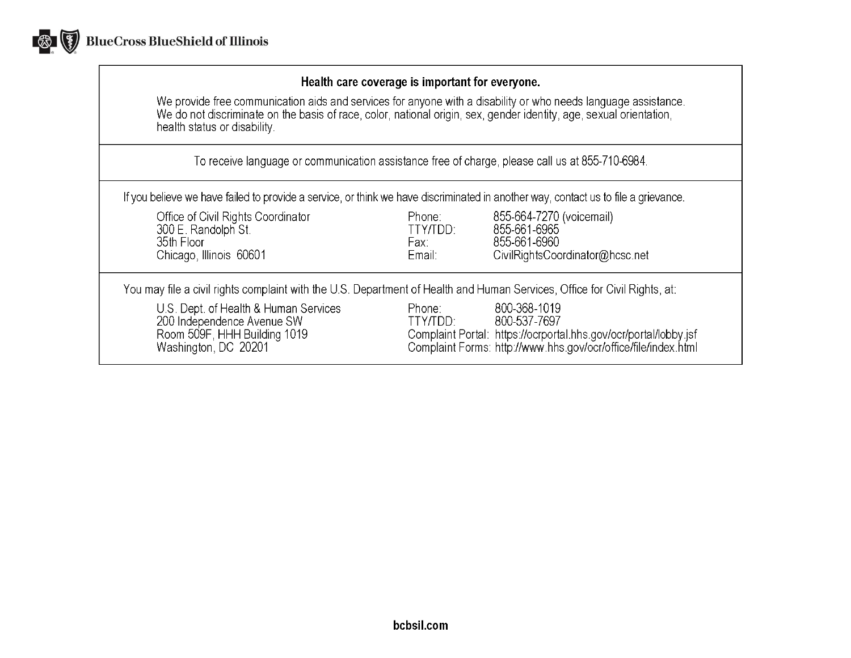

## Health care coverage is important for everyone.

We provide free communication aids and services for anyone with a disability or who needs language assistance.<br>We do not discriminate on the basis of race, color, national origin, sex, gender identity, age, sexual orientat health status or disability.

To receive language or communication assistance free of charge, please call us at 855-710-6984.

If you believe we have failed to provide a service, or think we have discriminated in another way, contact us to file a grievance.

| Office of Civil Rights Coordinator<br>300 E. Randolph St.<br>35th Floor<br>Chicago, Illinois 60601                          | Phone:<br>TTY/TDD:<br>Fax:<br>Email: | 855-664-7270 (voicemail)<br>855-661-6965<br>855-661-6960<br>CivilRightsCoordinator@hcsc.net                                                                        |
|-----------------------------------------------------------------------------------------------------------------------------|--------------------------------------|--------------------------------------------------------------------------------------------------------------------------------------------------------------------|
| You may file a civil rights complaint with the U.S. Department of Health and Human Services, Office for Civil Rights, at:   |                                      |                                                                                                                                                                    |
| U.S. Dept. of Health & Human Services<br>200 Independence Avenue SW<br>Room 509F, HHH Building 1019<br>Washington, DC 20201 | Phone:<br>TTY/TDD:                   | 800-368-1019<br>800-537-7697<br>Complaint Portal: https://ocrportal.hhs.gov/ocr/portal/lobby.jsf<br>Complaint Forms: http://www.hhs.gov/ocr/office/file/index.html |